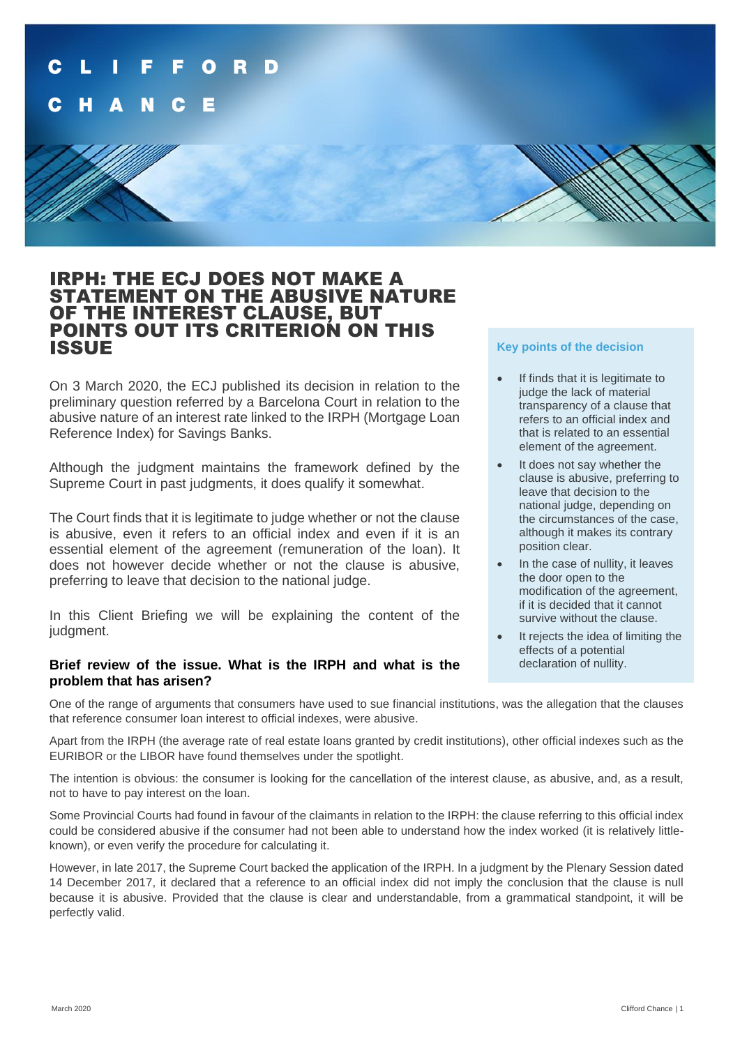

## IRPH: THE ECJ DOES NOT MAKE A STATEMENT ON THE ABUSIVE NATURE OF THE INTEREST CLAUSE, BUT POINTS OUT ITS CRITERION ON THIS ISSUE

On 3 March 2020, the ECJ published its decision in relation to the preliminary question referred by a Barcelona Court in relation to the abusive nature of an interest rate linked to the IRPH (Mortgage Loan Reference Index) for Savings Banks.

Although the judgment maintains the framework defined by the Supreme Court in past judgments, it does qualify it somewhat.

The Court finds that it is legitimate to judge whether or not the clause is abusive, even it refers to an official index and even if it is an essential element of the agreement (remuneration of the loan). It does not however decide whether or not the clause is abusive, preferring to leave that decision to the national judge.

In this Client Briefing we will be explaining the content of the judgment.

### **Brief review of the issue. What is the IRPH and what is the problem that has arisen?**

## **Key points of the decision**

- If finds that it is legitimate to judge the lack of material transparency of a clause that refers to an official index and that is related to an essential element of the agreement.
- It does not say whether the clause is abusive, preferring to leave that decision to the national judge, depending on the circumstances of the case, although it makes its contrary position clear.
- In the case of nullity, it leaves the door open to the modification of the agreement, if it is decided that it cannot survive without the clause.
- It rejects the idea of limiting the effects of a potential declaration of nullity.

One of the range of arguments that consumers have used to sue financial institutions, was the allegation that the clauses that reference consumer loan interest to official indexes, were abusive.

Apart from the IRPH (the average rate of real estate loans granted by credit institutions), other official indexes such as the EURIBOR or the LIBOR have found themselves under the spotlight.

The intention is obvious: the consumer is looking for the cancellation of the interest clause, as abusive, and, as a result, not to have to pay interest on the loan.

Some Provincial Courts had found in favour of the claimants in relation to the IRPH: the clause referring to this official index could be considered abusive if the consumer had not been able to understand how the index worked (it is relatively littleknown), or even verify the procedure for calculating it.

However, in late 2017, the Supreme Court backed the application of the IRPH. In a judgment by the Plenary Session dated 14 December 2017, it declared that a reference to an official index did not imply the conclusion that the clause is null because it is abusive. Provided that the clause is clear and understandable, from a grammatical standpoint, it will be perfectly valid.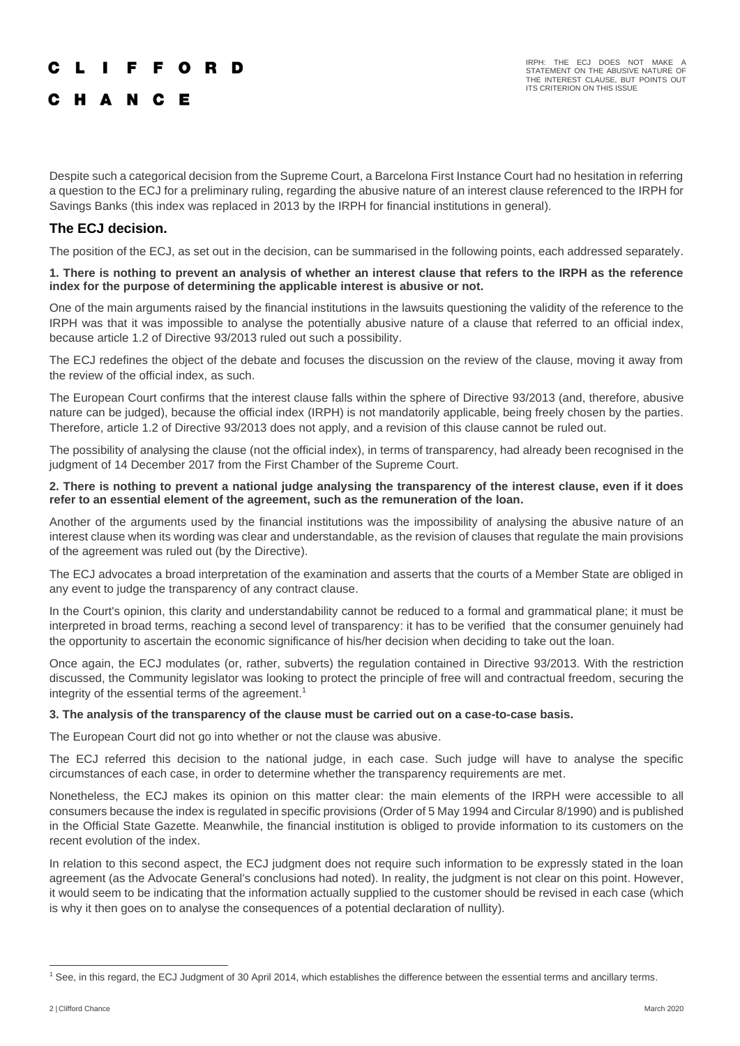## **LIFFORD**

## C H A N C E

Despite such a categorical decision from the Supreme Court, a Barcelona First Instance Court had no hesitation in referring a question to the ECJ for a preliminary ruling, regarding the abusive nature of an interest clause referenced to the IRPH for Savings Banks (this index was replaced in 2013 by the IRPH for financial institutions in general).

## **The ECJ decision.**

The position of the ECJ, as set out in the decision, can be summarised in the following points, each addressed separately.

#### **1. There is nothing to prevent an analysis of whether an interest clause that refers to the IRPH as the reference index for the purpose of determining the applicable interest is abusive or not.**

One of the main arguments raised by the financial institutions in the lawsuits questioning the validity of the reference to the IRPH was that it was impossible to analyse the potentially abusive nature of a clause that referred to an official index, because article 1.2 of Directive 93/2013 ruled out such a possibility.

The ECJ redefines the object of the debate and focuses the discussion on the review of the clause, moving it away from the review of the official index, as such.

The European Court confirms that the interest clause falls within the sphere of Directive 93/2013 (and, therefore, abusive nature can be judged), because the official index (IRPH) is not mandatorily applicable, being freely chosen by the parties. Therefore, article 1.2 of Directive 93/2013 does not apply, and a revision of this clause cannot be ruled out.

The possibility of analysing the clause (not the official index), in terms of transparency, had already been recognised in the judgment of 14 December 2017 from the First Chamber of the Supreme Court.

#### **2. There is nothing to prevent a national judge analysing the transparency of the interest clause, even if it does refer to an essential element of the agreement, such as the remuneration of the loan.**

Another of the arguments used by the financial institutions was the impossibility of analysing the abusive nature of an interest clause when its wording was clear and understandable, as the revision of clauses that regulate the main provisions of the agreement was ruled out (by the Directive).

The ECJ advocates a broad interpretation of the examination and asserts that the courts of a Member State are obliged in any event to judge the transparency of any contract clause.

In the Court's opinion, this clarity and understandability cannot be reduced to a formal and grammatical plane; it must be interpreted in broad terms, reaching a second level of transparency: it has to be verified that the consumer genuinely had the opportunity to ascertain the economic significance of his/her decision when deciding to take out the loan.

Once again, the ECJ modulates (or, rather, subverts) the regulation contained in Directive 93/2013. With the restriction discussed, the Community legislator was looking to protect the principle of free will and contractual freedom, securing the integrity of the essential terms of the agreement. 1

#### **3. The analysis of the transparency of the clause must be carried out on a case-to-case basis.**

The European Court did not go into whether or not the clause was abusive.

The ECJ referred this decision to the national judge, in each case. Such judge will have to analyse the specific circumstances of each case, in order to determine whether the transparency requirements are met.

Nonetheless, the ECJ makes its opinion on this matter clear: the main elements of the IRPH were accessible to all consumers because the index is regulated in specific provisions (Order of 5 May 1994 and Circular 8/1990) and is published in the Official State Gazette. Meanwhile, the financial institution is obliged to provide information to its customers on the recent evolution of the index.

In relation to this second aspect, the ECJ judgment does not require such information to be expressly stated in the loan agreement (as the Advocate General's conclusions had noted). In reality, the judgment is not clear on this point. However, it would seem to be indicating that the information actually supplied to the customer should be revised in each case (which is why it then goes on to analyse the consequences of a potential declaration of nullity).

<sup>1</sup> See, in this regard, the ECJ Judgment of 30 April 2014, which establishes the difference between the essential terms and ancillary terms.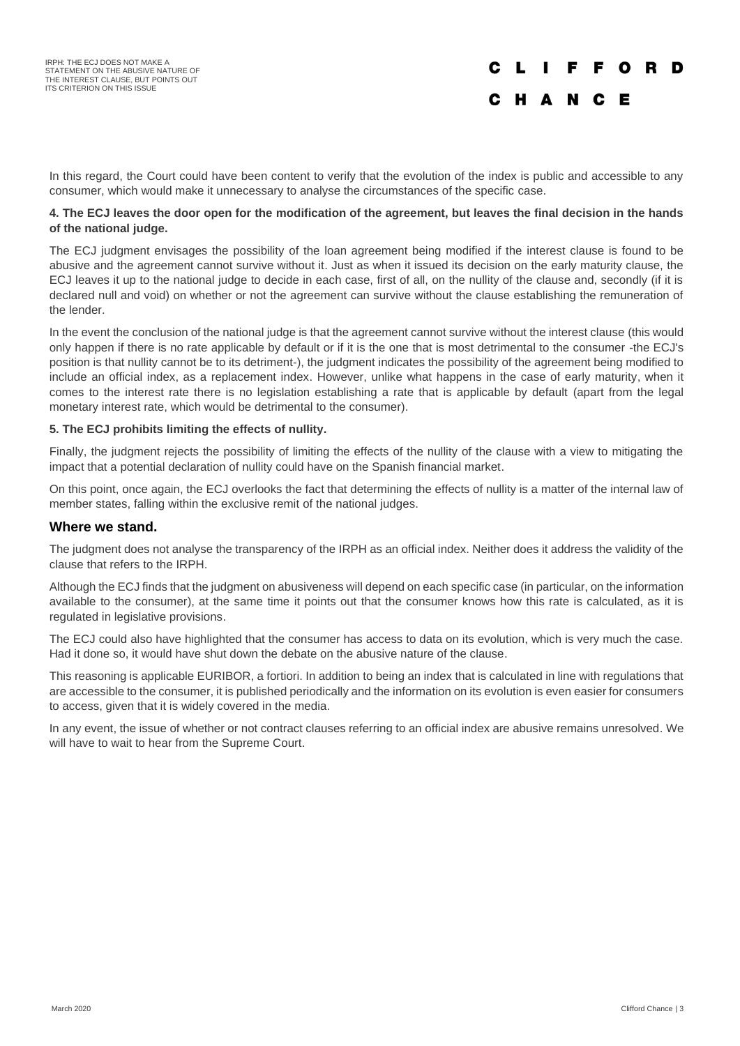In this regard, the Court could have been content to verify that the evolution of the index is public and accessible to any consumer, which would make it unnecessary to analyse the circumstances of the specific case.

#### **4. The ECJ leaves the door open for the modification of the agreement, but leaves the final decision in the hands of the national judge.**

The ECJ judgment envisages the possibility of the loan agreement being modified if the interest clause is found to be abusive and the agreement cannot survive without it. Just as when it issued its decision on the early maturity clause, the ECJ leaves it up to the national judge to decide in each case, first of all, on the nullity of the clause and, secondly (if it is declared null and void) on whether or not the agreement can survive without the clause establishing the remuneration of the lender.

In the event the conclusion of the national judge is that the agreement cannot survive without the interest clause (this would only happen if there is no rate applicable by default or if it is the one that is most detrimental to the consumer -the ECJ's position is that nullity cannot be to its detriment-), the judgment indicates the possibility of the agreement being modified to include an official index, as a replacement index. However, unlike what happens in the case of early maturity, when it comes to the interest rate there is no legislation establishing a rate that is applicable by default (apart from the legal monetary interest rate, which would be detrimental to the consumer).

### **5. The ECJ prohibits limiting the effects of nullity.**

Finally, the judgment rejects the possibility of limiting the effects of the nullity of the clause with a view to mitigating the impact that a potential declaration of nullity could have on the Spanish financial market.

On this point, once again, the ECJ overlooks the fact that determining the effects of nullity is a matter of the internal law of member states, falling within the exclusive remit of the national judges.

#### **Where we stand.**

The judgment does not analyse the transparency of the IRPH as an official index. Neither does it address the validity of the clause that refers to the IRPH.

Although the ECJ finds that the judgment on abusiveness will depend on each specific case (in particular, on the information available to the consumer), at the same time it points out that the consumer knows how this rate is calculated, as it is regulated in legislative provisions.

The ECJ could also have highlighted that the consumer has access to data on its evolution, which is very much the case. Had it done so, it would have shut down the debate on the abusive nature of the clause.

This reasoning is applicable EURIBOR, a fortiori. In addition to being an index that is calculated in line with regulations that are accessible to the consumer, it is published periodically and the information on its evolution is even easier for consumers to access, given that it is widely covered in the media.

In any event, the issue of whether or not contract clauses referring to an official index are abusive remains unresolved. We will have to wait to hear from the Supreme Court.